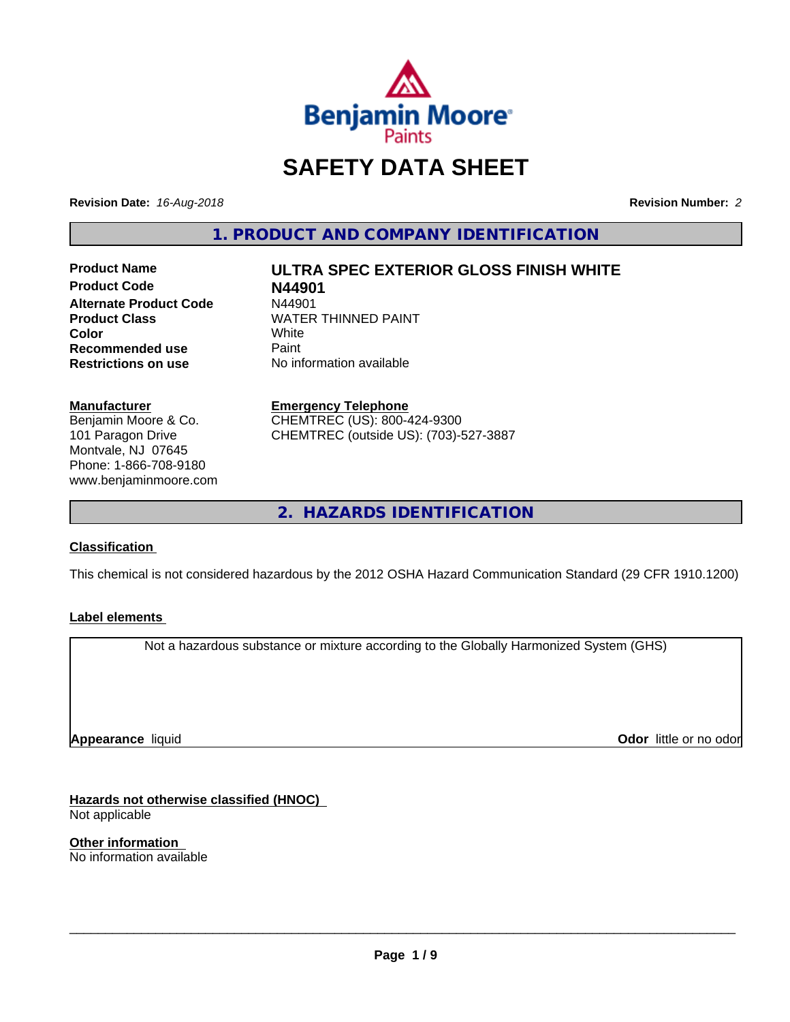

# **SAFETY DATA SHEET**

**Revision Date:** *16-Aug-2018* **Revision Number:** *2*

**1. PRODUCT AND COMPANY IDENTIFICATION**

**Product Name ULTRA SPEC EXTERIOR GLOSS FINISH WHITE Product Code N44901 Alternate Product Code M44901**<br>Product Class WATER **Recommended use** Paint<br> **Restrictions on use** No inf

**WATER THINNED PAINT**<br>White **Color** White White **No information available** 

**Manufacturer**

Benjamin Moore & Co. 101 Paragon Drive Montvale, NJ 07645 Phone: 1-866-708-9180 www.benjaminmoore.com **Emergency Telephone**

CHEMTREC (US): 800-424-9300 CHEMTREC (outside US): (703)-527-3887

**2. HAZARDS IDENTIFICATION**

# **Classification**

This chemical is not considered hazardous by the 2012 OSHA Hazard Communication Standard (29 CFR 1910.1200)

#### **Label elements**

Not a hazardous substance or mixture according to the Globally Harmonized System (GHS)

**Appearance** liquid

**Odor** little or no odor

**Hazards not otherwise classified (HNOC)** Not applicable

**Other information** No information available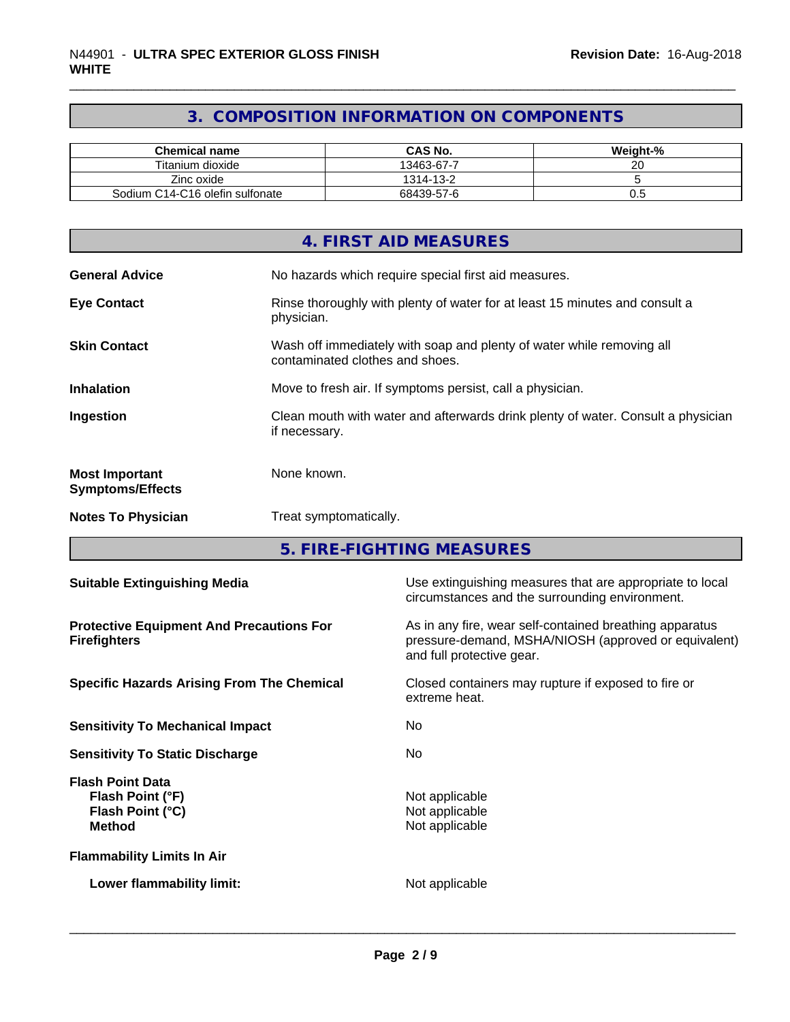# **3. COMPOSITION INFORMATION ON COMPONENTS**

| <b>Chemical name</b>            | CAS No.    | Weight-% |
|---------------------------------|------------|----------|
| Titanium dioxide                | 13463-67-7 | ~~<br>ີ  |
| Zinc oxide                      | 1314-13-2  |          |
| Sodium C14-C16 olefin sulfonate | 68439-57-6 | v.J      |

|                                                  | 4. FIRST AID MEASURES                                                                                    |
|--------------------------------------------------|----------------------------------------------------------------------------------------------------------|
| <b>General Advice</b>                            | No hazards which require special first aid measures.                                                     |
| <b>Eye Contact</b>                               | Rinse thoroughly with plenty of water for at least 15 minutes and consult a<br>physician.                |
| <b>Skin Contact</b>                              | Wash off immediately with soap and plenty of water while removing all<br>contaminated clothes and shoes. |
| <b>Inhalation</b>                                | Move to fresh air. If symptoms persist, call a physician.                                                |
| Ingestion                                        | Clean mouth with water and afterwards drink plenty of water. Consult a physician<br>if necessary.        |
| <b>Most Important</b><br><b>Symptoms/Effects</b> | None known.                                                                                              |
| <b>Notes To Physician</b>                        | Treat symptomatically.                                                                                   |

**5. FIRE-FIGHTING MEASURES**

| <b>Suitable Extinguishing Media</b>                                              | Use extinguishing measures that are appropriate to local<br>circumstances and the surrounding environment.                                   |  |  |
|----------------------------------------------------------------------------------|----------------------------------------------------------------------------------------------------------------------------------------------|--|--|
| <b>Protective Equipment And Precautions For</b><br><b>Firefighters</b>           | As in any fire, wear self-contained breathing apparatus<br>pressure-demand, MSHA/NIOSH (approved or equivalent)<br>and full protective gear. |  |  |
| <b>Specific Hazards Arising From The Chemical</b>                                | Closed containers may rupture if exposed to fire or<br>extreme heat.                                                                         |  |  |
| <b>Sensitivity To Mechanical Impact</b>                                          | No.                                                                                                                                          |  |  |
| <b>Sensitivity To Static Discharge</b>                                           | No.                                                                                                                                          |  |  |
| <b>Flash Point Data</b><br>Flash Point (°F)<br>Flash Point (°C)<br><b>Method</b> | Not applicable<br>Not applicable<br>Not applicable                                                                                           |  |  |
| <b>Flammability Limits In Air</b>                                                |                                                                                                                                              |  |  |
| Lower flammability limit:                                                        | Not applicable                                                                                                                               |  |  |
|                                                                                  |                                                                                                                                              |  |  |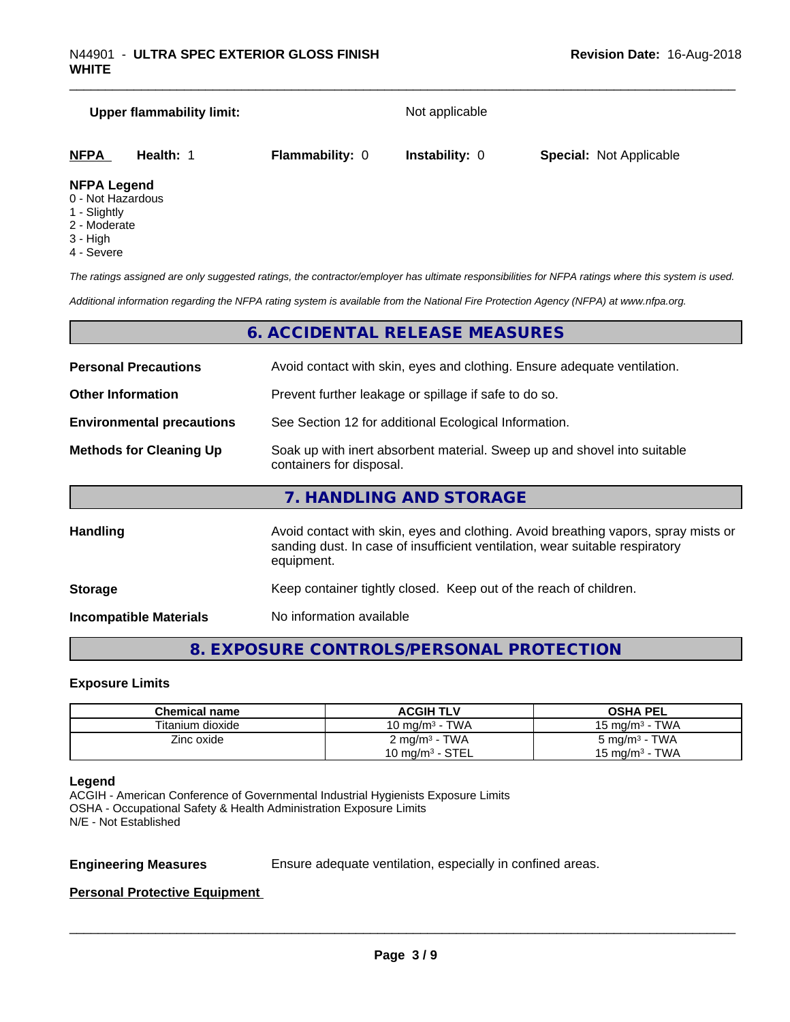| <b>Upper flammability limit:</b>  |           | Not applicable         |                       |                                |  |
|-----------------------------------|-----------|------------------------|-----------------------|--------------------------------|--|
| <b>NFPA</b>                       | Health: 1 | <b>Flammability: 0</b> | <b>Instability: 0</b> | <b>Special: Not Applicable</b> |  |
| <b>NFPA Legend</b><br>- - - - - - |           |                        |                       |                                |  |

- 0 Not Hazardous
- 1 Slightly
- 2 Moderate
- 3 High
- 4 Severe

*The ratings assigned are only suggested ratings, the contractor/employer has ultimate responsibilities for NFPA ratings where this system is used.*

*Additional information regarding the NFPA rating system is available from the National Fire Protection Agency (NFPA) at www.nfpa.org.*

# **6. ACCIDENTAL RELEASE MEASURES**

| <b>Personal Precautions</b>                                                                                                            | Avoid contact with skin, eyes and clothing. Ensure adequate ventilation.                                                                                                         |
|----------------------------------------------------------------------------------------------------------------------------------------|----------------------------------------------------------------------------------------------------------------------------------------------------------------------------------|
| <b>Other Information</b>                                                                                                               | Prevent further leakage or spillage if safe to do so.                                                                                                                            |
| <b>Environmental precautions</b>                                                                                                       | See Section 12 for additional Ecological Information.                                                                                                                            |
| Soak up with inert absorbent material. Sweep up and shovel into suitable<br><b>Methods for Cleaning Up</b><br>containers for disposal. |                                                                                                                                                                                  |
|                                                                                                                                        | 7. HANDLING AND STORAGE                                                                                                                                                          |
| Handling                                                                                                                               | Avoid contact with skin, eyes and clothing. Avoid breathing vapors, spray mists or<br>sanding dust. In case of insufficient ventilation, wear suitable respiratory<br>equipment. |
| <b>Storage</b>                                                                                                                         | Keep container tightly closed. Keep out of the reach of children.                                                                                                                |

**Incompatible Materials** No information available

# **8. EXPOSURE CONTROLS/PERSONAL PROTECTION**

#### **Exposure Limits**

| Chemical name    | <b>ACGIH TLV</b>         | <b>OSHA PEL</b>           |
|------------------|--------------------------|---------------------------|
| Titanium dioxide | 10 mg/m $3$ - TWA        | 15 mg/m $3$ - TWA         |
| Zinc oxide       | $2 \text{ mg/m}^3$ - TWA | 5 mg/m <sup>3</sup> - TWA |
|                  | 10 mg/m $3$ - STEL       | 15 mg/m $3$ - TWA         |

#### **Legend**

ACGIH - American Conference of Governmental Industrial Hygienists Exposure Limits OSHA - Occupational Safety & Health Administration Exposure Limits N/E - Not Established

**Engineering Measures** Ensure adequate ventilation, especially in confined areas.

 $\overline{\phantom{a}}$  ,  $\overline{\phantom{a}}$  ,  $\overline{\phantom{a}}$  ,  $\overline{\phantom{a}}$  ,  $\overline{\phantom{a}}$  ,  $\overline{\phantom{a}}$  ,  $\overline{\phantom{a}}$  ,  $\overline{\phantom{a}}$  ,  $\overline{\phantom{a}}$  ,  $\overline{\phantom{a}}$  ,  $\overline{\phantom{a}}$  ,  $\overline{\phantom{a}}$  ,  $\overline{\phantom{a}}$  ,  $\overline{\phantom{a}}$  ,  $\overline{\phantom{a}}$  ,  $\overline{\phantom{a}}$ 

#### **Personal Protective Equipment**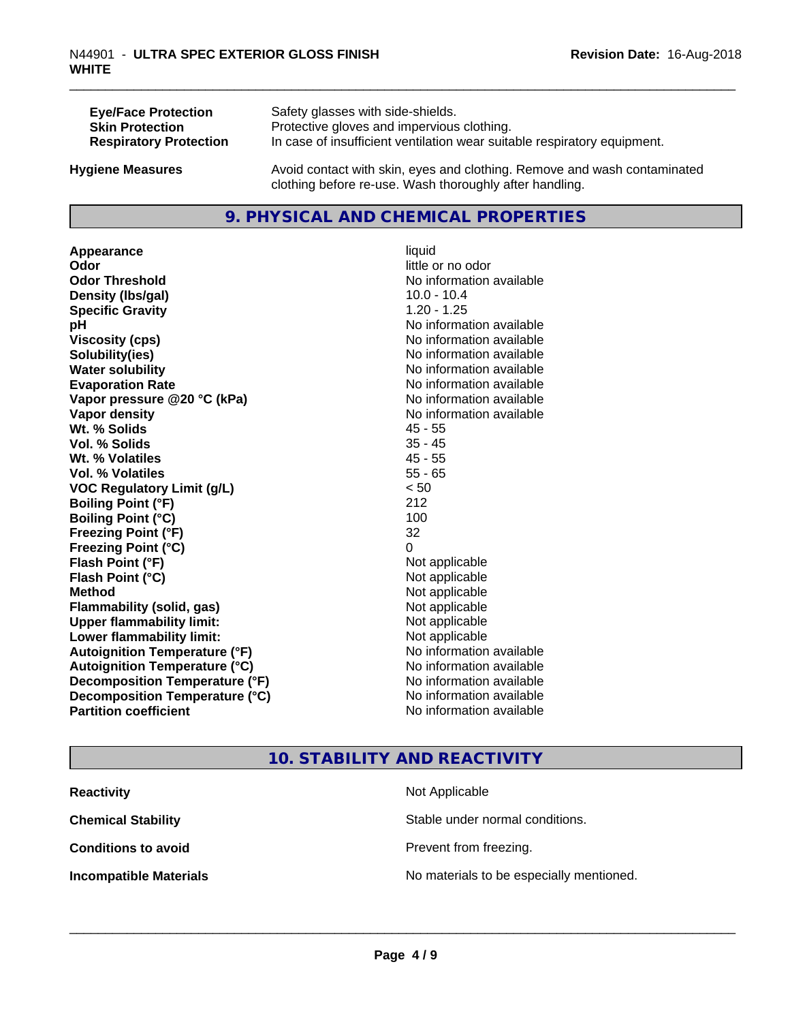| <b>Eye/Face Protection</b>    | Safety glasses with side-shields.                                        |
|-------------------------------|--------------------------------------------------------------------------|
| <b>Skin Protection</b>        | Protective gloves and impervious clothing.                               |
| <b>Respiratory Protection</b> | In case of insufficient ventilation wear suitable respiratory equipment. |
| <b>Hygiene Measures</b>       | Avoid contact with skin, eyes and clothing. Remove and wash contaminated |

#### **9. PHYSICAL AND CHEMICAL PROPERTIES**

clothing before re-use. Wash thoroughly after handling.

**Appearance** liquid **Odor** little or no odor **Odor Threshold No information available No information available Density (Ibs/gal)** 10.0 - 10.4 **Specific Gravity** 1.20 - 1.25 **pH**<br>
Viscosity (cps) The Contract of the Contract of the Viscosity (cps) **Solubility(ies)** No information available **Water solubility Water solubility Water solubility Water solubility Water solubility Water solution Evaporation Rate No information available No information available Vapor pressure @20 °C (kPa)** No information available **Vapor density No information available Wt. % Solids** 45 - 55 **Vol. % Solids Wt. % Volatiles** 45 - 55 **Vol. % Volatiles** 55 - 65 **VOC Regulatory Limit (g/L)** < 50 **Boiling Point (°F)** 212 **Boiling Point**  $(^{\circ}C)$  100 **Freezing Point (°F)** 32 **Freezing Point (°C)** 0 **Flash Point (°F)**<br> **Flash Point (°C)**<br> **Flash Point (°C)**<br> **Point (°C) Flash Point (°C) Method** Not applicable **Flammability (solid, gas)** Not applicable **Upper flammability limit:** Not applicable **Lower flammability limit:** Not applicable **Autoignition Temperature (°F)** No information available **Autoignition Temperature (°C)** No information available **Decomposition Temperature (°F)**<br> **Decomposition Temperature (°C)**<br>
No information available **Decomposition Temperature (°C)**<br>Partition coefficient

**Viscosity (cps)** No information available **No information available** 

# **10. STABILITY AND REACTIVITY**

| <b>Reactivity</b>             | Not Applicable                           |
|-------------------------------|------------------------------------------|
| <b>Chemical Stability</b>     | Stable under normal conditions.          |
| <b>Conditions to avoid</b>    | Prevent from freezing.                   |
| <b>Incompatible Materials</b> | No materials to be especially mentioned. |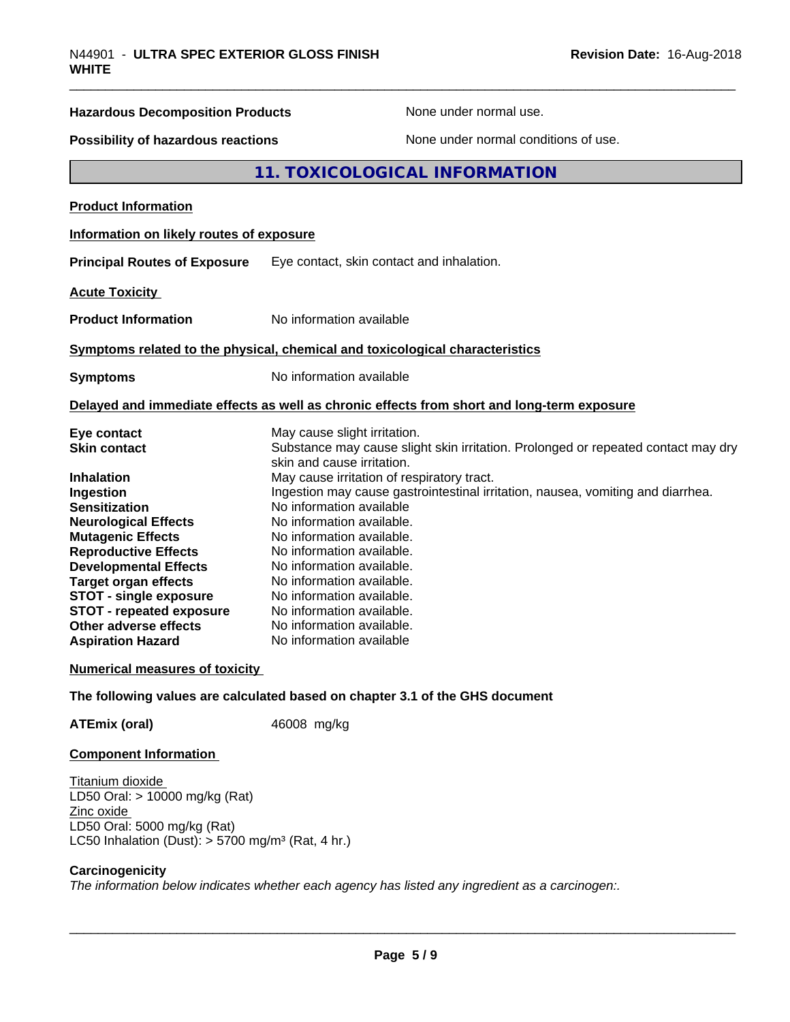| Possibility of hazardous reactions<br>None under normal conditions of use.                                      |  |
|-----------------------------------------------------------------------------------------------------------------|--|
| 11. TOXICOLOGICAL INFORMATION                                                                                   |  |
|                                                                                                                 |  |
| Information on likely routes of exposure                                                                        |  |
| <b>Principal Routes of Exposure</b><br>Eye contact, skin contact and inhalation.                                |  |
|                                                                                                                 |  |
| No information available                                                                                        |  |
| Symptoms related to the physical, chemical and toxicological characteristics                                    |  |
| No information available                                                                                        |  |
| Delayed and immediate effects as well as chronic effects from short and long-term exposure                      |  |
| May cause slight irritation.                                                                                    |  |
| Substance may cause slight skin irritation. Prolonged or repeated contact may dry<br>skin and cause irritation. |  |
| May cause irritation of respiratory tract.                                                                      |  |
| Ingestion may cause gastrointestinal irritation, nausea, vomiting and diarrhea.                                 |  |
| No information available                                                                                        |  |
| No information available.                                                                                       |  |
| No information available.                                                                                       |  |
| No information available.                                                                                       |  |
| No information available.                                                                                       |  |
| No information available.                                                                                       |  |
| No information available.                                                                                       |  |
| No information available.                                                                                       |  |
| No information available.                                                                                       |  |
| No information available                                                                                        |  |
| <b>Numerical measures of toxicity</b>                                                                           |  |
|                                                                                                                 |  |

**ATEmix (oral)** 46008 mg/kg

#### **Component Information**

Titanium dioxide LD50 Oral: > 10000 mg/kg (Rat) Zinc oxide LD50 Oral: 5000 mg/kg (Rat) LC50 Inhalation (Dust):  $> 5700$  mg/m<sup>3</sup> (Rat, 4 hr.)

#### **Carcinogenicity**

*The information below indicateswhether each agency has listed any ingredient as a carcinogen:.*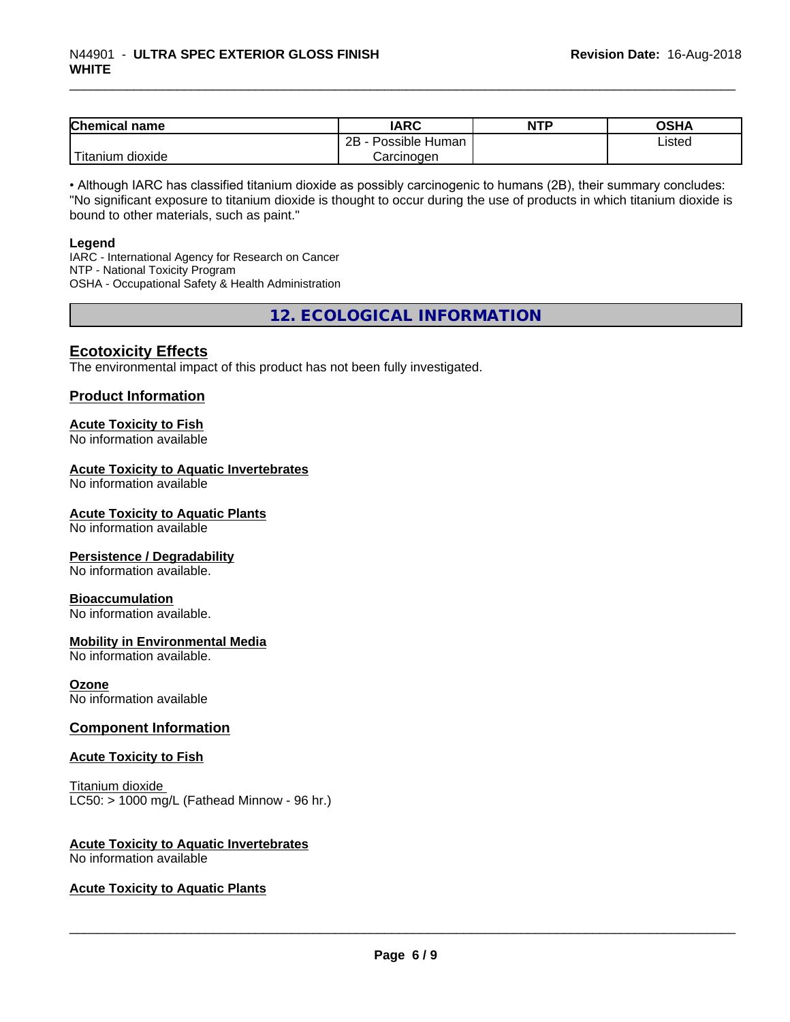| <b>Chemical name</b>         | <b>IARC</b>          | <b>NTP</b> | <b>OSHA</b> |
|------------------------------|----------------------|------------|-------------|
|                              | Possible Human<br>2B |            | Listed      |
| .<br>n dioxide<br>, Titanıum | Carcinogen           |            |             |

• Although IARC has classified titanium dioxide as possibly carcinogenic to humans (2B), their summary concludes: "No significant exposure to titanium dioxide is thought to occur during the use of products in which titanium dioxide is bound to other materials, such as paint."

#### **Legend**

IARC - International Agency for Research on Cancer NTP - National Toxicity Program OSHA - Occupational Safety & Health Administration

**12. ECOLOGICAL INFORMATION**

#### **Ecotoxicity Effects**

The environmental impact of this product has not been fully investigated.

#### **Product Information**

#### **Acute Toxicity to Fish**

No information available

### **Acute Toxicity to Aquatic Invertebrates**

No information available

#### **Acute Toxicity to Aquatic Plants**

No information available

#### **Persistence / Degradability**

No information available.

#### **Bioaccumulation**

No information available.

#### **Mobility in Environmental Media**

No information available.

#### **Ozone**

No information available

#### **Component Information**

#### **Acute Toxicity to Fish**

Titanium dioxide  $LC50:$  > 1000 mg/L (Fathead Minnow - 96 hr.)

# **Acute Toxicity to Aquatic Invertebrates**

No information available

#### **Acute Toxicity to Aquatic Plants**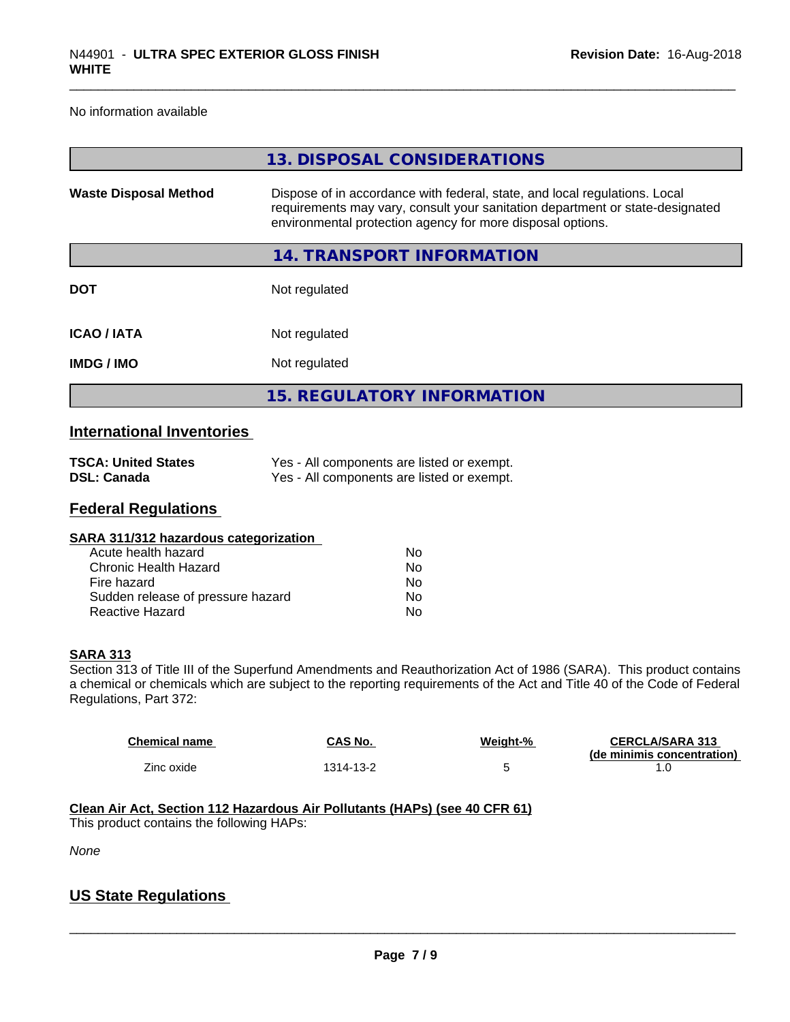No information available

|                              | 13. DISPOSAL CONSIDERATIONS                                                                                                                                                                                               |
|------------------------------|---------------------------------------------------------------------------------------------------------------------------------------------------------------------------------------------------------------------------|
| <b>Waste Disposal Method</b> | Dispose of in accordance with federal, state, and local regulations. Local<br>requirements may vary, consult your sanitation department or state-designated<br>environmental protection agency for more disposal options. |
|                              | 14. TRANSPORT INFORMATION                                                                                                                                                                                                 |
| <b>DOT</b>                   | Not regulated                                                                                                                                                                                                             |
| <b>ICAO/IATA</b>             | Not regulated                                                                                                                                                                                                             |
| <b>IMDG/IMO</b>              | Not regulated                                                                                                                                                                                                             |
|                              | <b>15. REGULATORY INFORMATION</b>                                                                                                                                                                                         |

# **International Inventories**

| <b>TSCA: United States</b> | Yes - All components are listed or exempt. |
|----------------------------|--------------------------------------------|
| DSL: Canada                | Yes - All components are listed or exempt. |

#### **Federal Regulations**

| Nο |  |
|----|--|
| Nο |  |
| Nο |  |
| No |  |
| No |  |
|    |  |

#### **SARA 313**

Section 313 of Title III of the Superfund Amendments and Reauthorization Act of 1986 (SARA). This product contains a chemical or chemicals which are subject to the reporting requirements of the Act and Title 40 of the Code of Federal Regulations, Part 372:

| <b>Chemical name</b> | CAS No.   | Weight-% | <b>CERCLA/SARA 313</b><br>(de minimis concentration) |
|----------------------|-----------|----------|------------------------------------------------------|
| Zinc oxide           | 1314-13-2 |          |                                                      |

#### **Clean Air Act,Section 112 Hazardous Air Pollutants (HAPs) (see 40 CFR 61)** This product contains the following HAPs:

*None*

# **US State Regulations**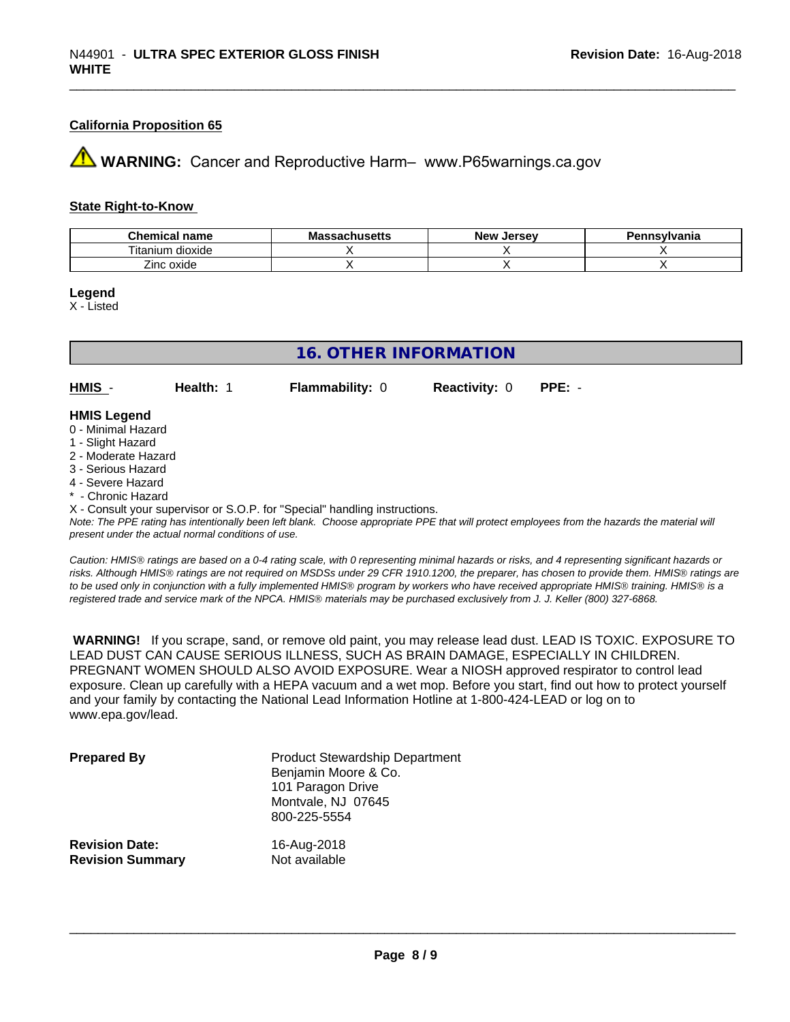#### **California Proposition 65**

**AVIMARNING:** Cancer and Reproductive Harm– www.P65warnings.ca.gov

#### **State Right-to-Know**

| $\sim$<br>hemical name<br>--- | .<br>Мi<br>saunus <del>c</del> us | <b>Jerse</b> v<br><b>Nev</b> | าทรงIvania<br>. |
|-------------------------------|-----------------------------------|------------------------------|-----------------|
| <br>÷.<br>dioxide<br>litanium |                                   |                              |                 |
| _<br>inc oxide                |                                   |                              |                 |

**Legend**

X - Listed

| 16. OTHER INFORMATION |           |                        |                      |          |  |
|-----------------------|-----------|------------------------|----------------------|----------|--|
| HMIS -                | Health: 1 | <b>Flammability: 0</b> | <b>Reactivity: 0</b> | $PPE: -$ |  |
| <b>HMIS Legend</b>    |           |                        |                      |          |  |
| 0 - Minimal Hazard    |           |                        |                      |          |  |
| 1 - Slight Hazard     |           |                        |                      |          |  |
| 2 - Moderate Hazard   |           |                        |                      |          |  |
| O Ossiana Hamard      |           |                        |                      |          |  |

- 3 Serious Hazard
- 4 Severe Hazard
- \* Chronic Hazard

X - Consult your supervisor or S.O.P. for "Special" handling instructions.

*Note: The PPE rating has intentionally been left blank. Choose appropriate PPE that will protect employees from the hazards the material will present under the actual normal conditions of use.*

*Caution: HMISÒ ratings are based on a 0-4 rating scale, with 0 representing minimal hazards or risks, and 4 representing significant hazards or risks. Although HMISÒ ratings are not required on MSDSs under 29 CFR 1910.1200, the preparer, has chosen to provide them. HMISÒ ratings are to be used only in conjunction with a fully implemented HMISÒ program by workers who have received appropriate HMISÒ training. HMISÒ is a registered trade and service mark of the NPCA. HMISÒ materials may be purchased exclusively from J. J. Keller (800) 327-6868.*

 **WARNING!** If you scrape, sand, or remove old paint, you may release lead dust. LEAD IS TOXIC. EXPOSURE TO LEAD DUST CAN CAUSE SERIOUS ILLNESS, SUCH AS BRAIN DAMAGE, ESPECIALLY IN CHILDREN. PREGNANT WOMEN SHOULD ALSO AVOID EXPOSURE.Wear a NIOSH approved respirator to control lead exposure. Clean up carefully with a HEPA vacuum and a wet mop. Before you start, find out how to protect yourself and your family by contacting the National Lead Information Hotline at 1-800-424-LEAD or log on to www.epa.gov/lead.

| <b>Prepared By</b>      | <b>Product Stewardship Department</b><br>Benjamin Moore & Co.<br>101 Paragon Drive<br>Montvale, NJ 07645<br>800-225-5554 |
|-------------------------|--------------------------------------------------------------------------------------------------------------------------|
| <b>Revision Date:</b>   | 16-Aug-2018                                                                                                              |
| <b>Revision Summary</b> | Not available                                                                                                            |